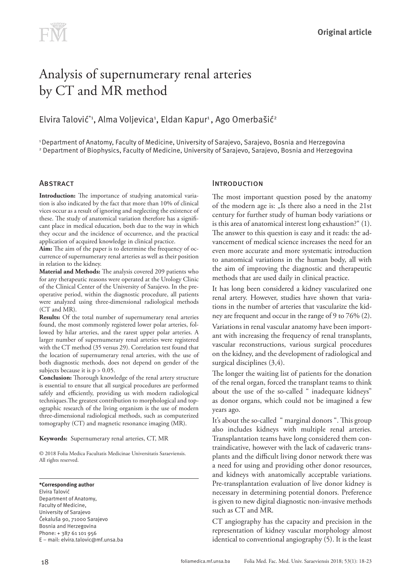# Analysis of supernumerary renal arteries by CT and MR method

# Elvira Talović\*1, Alma Voljevica1, Eldan Kapur1 , Ago Omerbašić $^{\circ}$

1 Department of Anatomy, Faculty of Medicine, University of Sarajevo, Sarajevo, Bosnia and Herzegovina 2 Department of Biophysics, Faculty of Medicine, University of Sarajevo, Sarajevo, Bosnia and Herzegovina

# **ABSTRACT**

**Introduction:** The importance of studying anatomical variation is also indicated by the fact that more than 10% of clinical vices occur as a result of ignoring and neglecting the existence of these. The study of anatomical variation therefore has a significant place in medical education, both due to the way in which they occur and the incidence of occurrence, and the practical application of acquired knowledge in clinical practice.

**Aim:** The aim of the paper is to determine the frequency of occurrence of supernumerary renal arteries as well as their position in relation to the kidney.

**Material and Methods:** The analysis covered 209 patients who for any therapeutic reasons were operated at the Urology Clinic of the Clinical Center of the University of Sarajevo. In the preoperative period, within the diagnostic procedure, all patients were analyzed using three-dimensional radiological methods (CT and MR).

**Results:** Of the total number of supernumerary renal arteries found, the most commonly registered lower polar arteries, followed by hilar arteries, and the rarest upper polar arteries. A larger number of supernumerary renal arteries were registered with the CT method (35 versus 29). Correlation test found that the location of supernumerary renal arteries, with the use of both diagnostic methods, does not depend on gender of the subjects because it is  $p > 0.05$ .

**Conclusion:** Thorough knowledge of the renal artery structure is essential to ensure that all surgical procedures are performed safely and efficiently, providing us with modern radiological techniques.The greatest contribution to morphological and topographic research of the living organism is the use of modern three-dimensional radiological methods, such as computerized tomography (CT) and magnetic resonance imaging (MR).

#### **Keywords:** Supernumerary renal arteries, CT, MR

© 2018 Folia Medica Facultatis Medicinae Universitatis Saraeviensis. All rights reserved.

**\*Corresponding author** Elvira Talović Department of Anatomy, Faculty of Medicine, University of Sarajevo Čekaluša 90, 71000 Sarajevo Bosnia and Herzegovina Phone: + 387 61 101 956 E – mail: elvira.talovic@mf.unsa.ba

### **INTRODUCTION**

The most important question posed by the anatomy of the modern age is: "Is there also a need in the 21st century for further study of human body variations or is this area of anatomical interest long exhaustion?" (1). The answer to this question is easy and it reads: the advancement of medical science increases the need for an even more accurate and more systematic introduction to anatomical variations in the human body, all with the aim of improving the diagnostic and therapeutic methods that are used daily in clinical practice.

It has long been considered a kidney vascularized one renal artery. However, studies have shown that variations in the number of arteries that vascularize the kidney are frequent and occur in the range of 9 to 76% (2).

Variations in renal vascular anatomy have been important with increasing the frequency of renal transplants, vascular reconstructions, various surgical procedures on the kidney, and the development of radiological and surgical disciplines (3,4).

The longer the waiting list of patients for the donation of the renal organ, forced the transplant teams to think about the use of the so-called " inadequate kidneys" as donor organs, which could not be imagined a few years ago.

It's about the so-called " marginal donors ". This group also includes kidneys with multiple renal arteries. Transplantation teams have long considered them contraindicative, however with the lack of cadaveric transplants and the difficult living donor network there was a need for using and providing other donor resources, and kidneys with anatomically acceptable variations. Pre-transplantation evaluation of live donor kidney is necessary in determining potential donors. Preference is given to new digital diagnostic non-invasive methods such as CT and MR.

CT angiography has the capacity and precision in the representation of kidney vascular morphology almost identical to conventional angiography (5). It is the least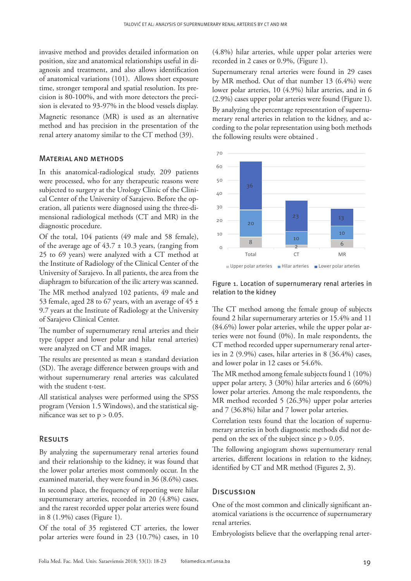invasive method and provides detailed information on position, size and anatomical relationships useful in diagnosis and treatment, and also allows identification of anatomical variations (101). Allows short exposure time, stronger temporal and spatial resolution. Its precision is 80-100%, and with more detectors the precision is elevated to 93-97% in the blood vessels display. Magnetic resonance (MR) is used as an alternative method and has precision in the presentation of the renal artery anatomy similar to the CT method (39).

#### Material and methods

of Sarajevo Clinical Center.

In this anatomical-radiological study, 209 patients were processed, who for any therapeutic reasons were subjected to surgery at the Urology Clinic of the Clinical Center of the University of Sarajevo. Before the operation, all patients were diagnosed using the three-dimensional radiological methods (CT and MR) in the diagnostic procedure.

Of the total, 104 patients (49 male and 58 female), of the average age of  $43.7 \pm 10.3$  years, (ranging from 25 to 69 years) were analyzed with a CT method at the Institute of Radiology of the Clinical Center of the University of Sarajevo. In all patients, the area from the diaphragm to bifurcation of the ilic artery was scanned. The MR method analyzed 102 patients, 49 male and 53 female, aged 28 to 67 years, with an average of 45  $\pm$ 9.7 years at the Institute of Radiology at the University

The number of supernumerary renal arteries and their type (upper and lower polar and hilar renal arteries) were analyzed on CT and MR images.

The results are presented as mean ± standard deviation (SD). The average difference between groups with and without supernumerary renal arteries was calculated with the student t-test.

All statistical analyses were performed using the SPSS program (Version 1.5 Windows), and the statistical significance was set to  $p > 0.05$ .

#### Results

By analyzing the supernumerary renal arteries found and their relationship to the kidney, it was found that the lower polar arteries most commonly occur. In the examined material, they were found in 36 (8.6%) cases. In second place, the frequency of reporting were hilar supernumerary arteries, recorded in 20 (4.8%) cases, and the rarest recorded upper polar arteries were found in 8 (1.9%) cases (Figure 1).

Of the total of 35 registered CT arteries, the lower polar arteries were found in 23 (10.7%) cases, in 10

(4.8%) hilar arteries, while upper polar arteries were recorded in 2 cases or 0.9%, (Figure 1).

Supernumerary renal arteries were found in 29 cases by MR method. Out of that number 13 (6.4%) were lower polar arteries, 10 (4.9%) hilar arteries, and in 6 (2.9%) cases upper polar arteries were found (Figure 1).

By analyzing the percentage representation of supernumerary renal arteries in relation to the kidney, and according to the polar representation using both methods the following results were obtained .



Figure 1. Location of supernumerary renal arteries in relation to the kidney

The CT method among the female group of subjects found 2 hilar supernumerary arteries or 15.4% and 11 (84.6%) lower polar arteries, while the upper polar arteries were not found (0%). In male respondents, the CT method recorded upper supernumerary renal arteries in 2 (9.9%) cases, hilar arteries in 8 (36.4%) cases, and lower polar in 12 cases or 54.6%.

The MR method among female subjects found 1 (10%) upper polar artery, 3 (30%) hilar arteries and 6 (60%) lower polar arteries. Among the male respondents, the MR method recorded 5 (26.3%) upper polar arteries and 7 (36.8%) hilar and 7 lower polar arteries.

Correlation tests found that the location of supernumerary arteries in both diagnostic methods did not depend on the sex of the subject since  $p > 0.05$ .

The following angiogram shows supernumerary renal arteries, different locations in relation to the kidney, identified by CT and MR method (Figures 2, 3).

#### **Discussion**

One of the most common and clinically significant anatomical variations is the occurrence of supernumerary renal arteries.

Embryologists believe that the overlapping renal arter-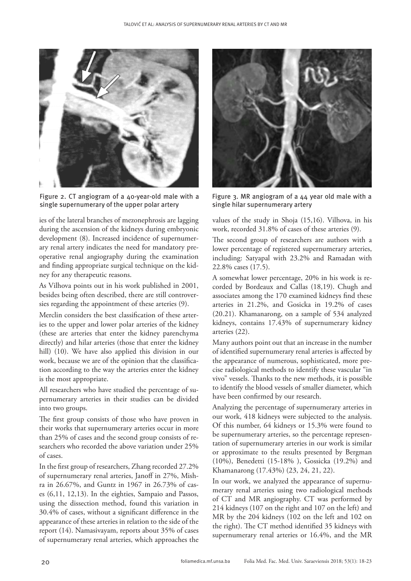

Figure 2. CT angiogram of a 40-year-old male with a single supernumerary of the upper polar artery

ies of the lateral branches of mezonephrosis are lagging during the ascension of the kidneys during embryonic development (8). Increased incidence of supernumerary renal artery indicates the need for mandatory preoperative renal angiography during the examination and finding appropriate surgical technique on the kidney for any therapeutic reasons.

As Vilhova points out in his work published in 2001, besides being often described, there are still controversies regarding the appointment of these arteries (9).

Merclin considers the best classification of these arteries to the upper and lower polar arteries of the kidney (these are arteries that enter the kidney parenchyma directly) and hilar arteries (those that enter the kidney hill) (10). We have also applied this division in our work, because we are of the opinion that the classification according to the way the arteries enter the kidney is the most appropriate.

All researchers who have studied the percentage of supernumerary arteries in their studies can be divided into two groups.

The first group consists of those who have proven in their works that supernumerary arteries occur in more than 25% of cases and the second group consists of researchers who recorded the above variation under 25% of cases.

In the first group of researchers, Zhang recorded 27.2% of supernumerary renal arteries, Janoff in 27%, Mishra in 26.67%, and Guntz in 1967 in 26.73% of cases (6,11, 12,13). In the eighties, Sampaio and Passos, using the dissection method, found this variation in 30.4% of cases, without a significant difference in the appearance of these arteries in relation to the side of the report (14). Namasivayam, reports about 35% of cases of supernumerary renal arteries, which approaches the



Figure 3. MR angiogram of a 44 year old male with a single hilar supernumerary artery

values of the study in Shoja (15,16). Vilhova, in his work, recorded 31.8% of cases of these arteries (9).

The second group of researchers are authors with a lower percentage of registered supernumerary arteries, including: Satyapal with 23.2% and Ramadan with 22.8% cases (17.5).

A somewhat lower percentage, 20% in his work is recorded by Bordeaux and Callas (18,19). Chugh and associates among the 170 examined kidneys find these arteries in 21.2%, and Gosicka in 19.2% of cases (20.21). Khamanarong, on a sample of 534 analyzed kidneys, contains 17.43% of supernumerary kidney arteries (22).

Many authors point out that an increase in the number of identified supernumerary renal arteries is affected by the appearance of numerous, sophisticated, more precise radiological methods to identify these vascular "in vivo" vessels. Thanks to the new methods, it is possible to identify the blood vessels of smaller diameter, which have been confirmed by our research.

Analyzing the percentage of supernumerary arteries in our work, 418 kidneys were subjected to the analysis. Of this number, 64 kidneys or 15.3% were found to be supernumerary arteries, so the percentage representation of supernumerary arteries in our work is similar or approximate to the results presented by Bergman (10%), Benedetti (15-18% ), Gossicka (19.2%) and Khamanarong (17.43%) (23, 24, 21, 22).

In our work, we analyzed the appearance of supernumerary renal arteries using two radiological methods of CT and MR angiography. CT was performed by 214 kidneys (107 on the right and 107 on the left) and MR by the 204 kidneys (102 on the left and 102 on the right). The CT method identified 35 kidneys with supernumerary renal arteries or 16.4%, and the MR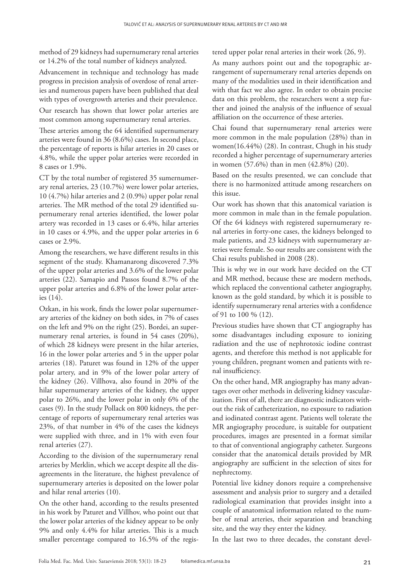method of 29 kidneys had supernumerary renal arteries or 14.2% of the total number of kidneys analyzed.

Advancement in technique and technology has made progress in precision analysis of overdose of renal arteries and numerous papers have been published that deal with types of overgrowth arteries and their prevalence.

Our research has shown that lower polar arteries are most common among supernumerary renal arteries.

These arteries among the 64 identified supernumerary arteries were found in 36 (8.6%) cases. In second place, the percentage of reports is hilar arteries in 20 cases or 4.8%, while the upper polar arteries were recorded in 8 cases or 1.9%.

CT by the total number of registered 35 sumernumerary renal arteries, 23 (10.7%) were lower polar arteries, 10 (4.7%) hilar arteries and 2 (0.9%) upper polar renal arteries. The MR method of the total 29 identified supernumerary renal arteries identified, the lower polar artery was recorded in 13 cases or 6.4%, hilar arteries in 10 cases or 4.9%, and the upper polar arteries in 6 cases or 2.9%.

Among the researchers, we have different results in this segment of the study. Khamanarong discovered 7.3% of the upper polar arteries and 3.6% of the lower polar arteries (22). Samapio and Passos found 8.7% of the upper polar arteries and 6.8% of the lower polar arteries (14).

Ozkan, in his work, finds the lower polar supernumerary arteries of the kidney on both sides, in 7% of cases on the left and 9% on the right (25). Bordei, an supernumerary renal arteries, is found in 54 cases (20%), of which 28 kidneys were present in the hilar arteries, 16 in the lower polar arteries and 5 in the upper polar arteries (18). Paturet was found in 12% of the upper polar artery, and in 9% of the lower polar artery of the kidney (26). Villhova, also found in 20% of the hilar supernumerary arteries of the kidney, the upper polar to 26%, and the lower polar in only 6% of the cases (9). In the study Pollack on 800 kidneys, the percentage of reports of supernumerary renal arteries was 23%, of that number in 4% of the cases the kidneys were supplied with three, and in 1% with even four renal arteries (27).

According to the division of the supernumerary renal arteries by Merklin, which we accept despite all the disagreements in the literature, the highest prevalence of supernumerary arteries is deposited on the lower polar and hilar renal arteries (10).

On the other hand, according to the results presented in his work by Paturet and Villhov, who point out that the lower polar arteries of the kidney appear to be only 9% and only 4.4% for hilar arteries. This is a much smaller percentage compared to 16.5% of the registered upper polar renal arteries in their work (26, 9).

As many authors point out and the topographic arrangement of supernumerary renal arteries depends on many of the modalities used in their identification and with that fact we also agree. In order to obtain precise data on this problem, the researchers went a step further and joined the analysis of the influence of sexual affiliation on the occurrence of these arteries.

Chai found that supernumerary renal arteries were more common in the male population (28%) than in women(16.44%) (28). In contrast, Chugh in his study recorded a higher percentage of supernumerary arteries in women (57.6%) than in men (42.8%) (20).

Based on the results presented, we can conclude that there is no harmonized attitude among researchers on this issue.

Our work has shown that this anatomical variation is more common in male than in the female population. Of the 64 kidneys with registered supernumerary renal arteries in forty-one cases, the kidneys belonged to male patients, and 23 kidneys with supernumerary arteries were female. So our results are consistent with the Chai results published in 2008 (28).

This is why we in our work have decided on the CT and MR method, because these are modern methods, which replaced the conventional catheter angiography, known as the gold standard, by which it is possible to identify supernumerary renal arteries with a confidence of 91 to 100 % (12).

Previous studies have shown that CT angiography has some disadvantages including exposure to ionizing radiation and the use of nephrotoxic iodine contrast agents, and therefore this method is not applicable for young children, pregnant women and patients with renal insufficiency.

On the other hand, MR angiography has many advantages over other methods in delivering kidney vascularization. First of all, there are diagnostic indicators without the risk of catheterization, no exposure to radiation and iodinated contrast agent. Patients well tolerate the MR angiography procedure, is suitable for outpatient procedures, images are presented in a format similar to that of conventional angiography catheter. Surgeons consider that the anatomical details provided by MR angiography are sufficient in the selection of sites for nephrectomy.

Potential live kidney donors require a comprehensive assessment and analysis prior to surgery and a detailed radiological examination that provides insight into a couple of anatomical information related to the number of renal arteries, their separation and branching site, and the way they enter the kidney.

In the last two to three decades, the constant devel-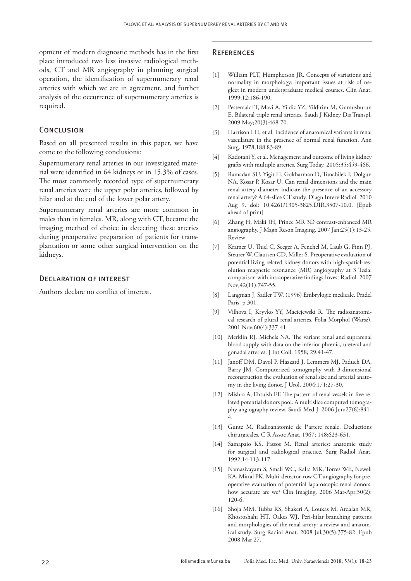opment of modern diagnostic methods has in the first place introduced two less invasive radiological methods, CT and MR angiography in planning surgical operation, the identification of supernumerary renal arteries with which we are in agreement, and further analysis of the occurrence of supernumerary arteries is required.

## **CONCLUSION**

Based on all presented results in this paper, we have come to the following conclusions:

Supernumerary renal arteries in our investigated material were identified in 64 kidneys or in 15.3% of cases. The most commonly recorded type of supernumerary renal arteries were the upper polar arteries, followed by hilar and at the end of the lower polar artery.

Supernumerary renal arteries are more common in males than in females. MR, along with CT, became the imaging method of choice in detecting these arteries during preoperative preparation of patients for transplantation or some other surgical intervention on the kidneys.

#### Declaration of interest

Authors declare no conflict of interest.

#### **REFERENCES**

- [1] William PLT, Humpherson JR. Concepts of variations and normality in morphology: important issues at risk of neglect in modern undergraduate medical courses. Clin Anat. 1999;12:186-190.
- [2] Pestemalci T, Mavi A, Yildiz YZ, Yildirim M, Gumusburun E. Bilateral triple renal arteries. Saudi J Kidney Dis Transpl. 2009 May;20(3):468-70.
- [3] Harrison LH, et al. Incidence of anatomical variants in renal vasculature in the presence of normal renal function. Ann Surg. 1978;188:83-89.
- [4] Kadotani Y, et al. Menagement and outcome of living kidney grafts with multiple arteries. Surg Today. 2005;35:459-466.
- [5] Ramadan SU, Yigit H, Gokharman D, Tuncbilek I, Dolgun NA, Kosar P, Kosar U. Can renal dimensions and the main renal artery diameter indicate the presence of an accessory renal artery? A 64-slice CT study. Diagn Interv Radiol. 2010 Aug 9. doi: 10.4261/1305-3825.DIR.3507-10.0. [Epub ahead of print]
- [6] Zhang H, Maki JH, Prince MR 3D contrast-enhanced MR angiography. J Magn Reson Imaging. 2007 Jan;25(1):13-25. Review
- [7] Kramer U, Thiel C, Seeger A, Fenchel M, Laub G, Finn PJ, Steurer W, Claussen CD, Miller S. Preoperative evaluation of potential living related kidney donors with high-spatial-resolution magnetic resonance (MR) angiography at 3 Tesla: comparison with intraoperative findings.Invest Radiol. 2007 Nov;42(11):747-55.
- [8] Langman J, Sadler TW. (1996) Embrylogie medicale. Pradel Paris. p 301.
- [9] Vilhova I, Kryvko YY, Maciejewski R. The radioanatomical research of plural renal arteries. Folia Morphol (Warsz). 2001 Nov;60(4):337-41.
- [10] Merklin RJ. Michels NA. The variant renal and suprarenal blood supply with data on the inferior phrenic, ureteral and gonadal arteries. J Int Coll. 1958; 29:41-47.
- [11] Janoff DM, Davol P, Hazzard J, Lemmers MJ, Paduch DA, Barry JM. Computerized tomography with 3-dimensional reconstruction the evaluation of renal size and arterial anatomy in the living donor. J Urol. 2004;171:27-30.
- [12] Mishra A, Ehtuish EF. The pattern of renal vessels in live related potential donors pool. A multislice computed tomography angiography review. Saudi Med J. 2006 Jun;27(6):841- 4.
- [13] Guntz M. Radioanatomie de l\*artere renale. Deductions chirurgicales. C R Assoc Anat. 1967; 148:623-631.
- [14] Samapaio KS, Passos M. Renal arteries: anatomic study for surgical and radiological practice. Surg Radiol Anat. 1992;14:113-117.
- [15] Namasivayam S, Small WC, Kalra MK, Torres WE, Newell KA, Mittal PK. Multi-detector-row CT angiography for preoperative evaluation of potential laparoscopic renal donors: how accurate are we? Clin Imaging. 2006 Mar-Apr;30(2): 120-6.
- [16] Shoja MM, Tubbs RS, Shakeri A, Loukas M, Ardalan MR, Khosroshahi HT, Oakes WJ. Peri-hilar branching patterns and morphologies of the renal artery: a review and anatomical study. Surg Radiol Anat. 2008 Jul;30(5):375-82. Epub 2008 Mar 27.